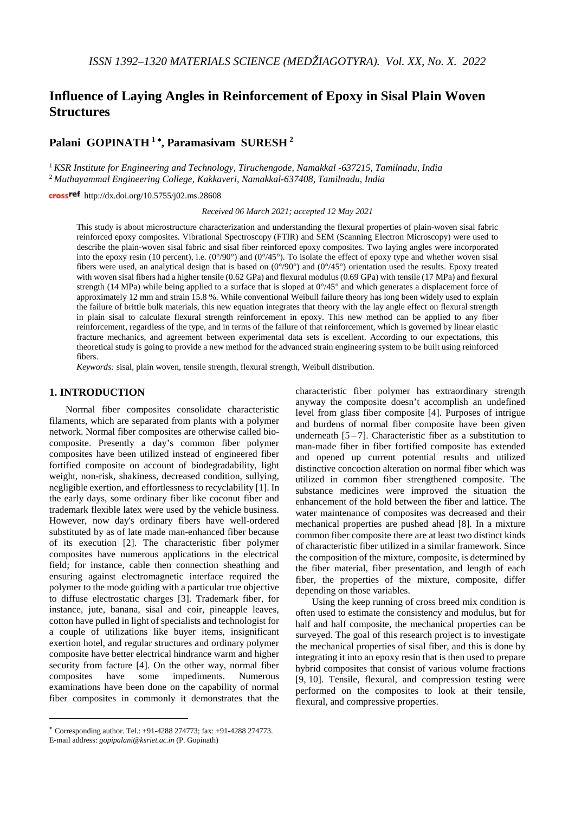# **Influence of Laying Angles in Reinforcement of Epoxy in Sisal Plain Woven Structures**

## **Palani GOPINATH <sup>1</sup>** <sup>∗</sup>**, Paramasivam SURESH <sup>2</sup>**

<sup>1</sup> *KSR Institute for Engineering and Technology, Tiruchengode, Namakkal -637215, Tamilnadu, India* <sup>2</sup> *Muthayammal Engineering College, Kakkaveri, Namakkal-637408, Tamilnadu, India*

crossref http://dx.doi.org/10.5755/j02.ms.28608

*Received 06 March 2021; accepted 12 May 2021*

This study is about microstructure characterization and understanding the flexural properties of plain-woven sisal fabric reinforced epoxy composites. Vibrational Spectroscopy (FTIR) and SEM (Scanning Electron Microscopy) were used to describe the plain-woven sisal fabric and sisal fiber reinforced epoxy composites. Two laying angles were incorporated into the epoxy resin (10 percent), i.e.  $(0^{\circ}/90^{\circ})$  and  $(0^{\circ}/45^{\circ})$ . To isolate the effect of epoxy type and whether woven sisal fibers were used, an analytical design that is based on  $(0^{\circ}/90^{\circ})$  and  $(0^{\circ}/45^{\circ})$  orientation used the results. Epoxy treated with woven sisal fibers had a higher tensile (0.62 GPa) and flexural modulus (0.69 GPa) with tensile (17 MPa) and flexural strength (14 MPa) while being applied to a surface that is sloped at  $0^{\circ}/45^{\circ}$  and which generates a displacement force of approximately 12 mm and strain 15.8 %. While conventional Weibull failure theory has long been widely used to explain the failure of brittle bulk materials, this new equation integrates that theory with the lay angle effect on flexural strength in plain sisal to calculate flexural strength reinforcement in epoxy. This new method can be applied to any fiber reinforcement, regardless of the type, and in terms of the failure of that reinforcement, which is governed by linear elastic fracture mechanics, and agreement between experimental data sets is excellent. According to our expectations, this theoretical study is going to provide a new method for the advanced strain engineering system to be built using reinforced fibers.

*Keywords:* sisal, plain woven, tensile strength, flexural strength, Weibull distribution.

### **1. INTRODUCTION**[∗](#page-0-0)

<u>.</u>

Normal fiber composites consolidate characteristic filaments, which are separated from plants with a polymer network. Normal fiber composites are otherwise called biocomposite. Presently a day's common fiber polymer composites have been utilized instead of engineered fiber fortified composite on account of biodegradability, light weight, non-risk, shakiness, decreased condition, sullying, negligible exertion, and effortlessness to recyclability [1]. In the early days, some ordinary fiber like coconut fiber and trademark flexible latex were used by the vehicle business. However, now day's ordinary fibers have well-ordered substituted by as of late made man-enhanced fiber because of its execution [2]. The characteristic fiber polymer composites have numerous applications in the electrical field; for instance, cable then connection sheathing and ensuring against electromagnetic interface required the polymer to the mode guiding with a particular true objective to diffuse electrostatic charges [3]. Trademark fiber, for instance, jute, banana, sisal and coir, pineapple leaves, cotton have pulled in light of specialists and technologist for a couple of utilizations like buyer items, insignificant exertion hotel, and regular structures and ordinary polymer composite have better electrical hindrance warm and higher security from facture [4]. On the other way, normal fiber composites have some impediments. Numerous examinations have been done on the capability of normal fiber composites in commonly it demonstrates that the

characteristic fiber polymer has extraordinary strength anyway the composite doesn't accomplish an undefined level from glass fiber composite [4]. Purposes of intrigue and burdens of normal fiber composite have been given underneath  $[5 - 7]$ . Characteristic fiber as a substitution to man-made fiber in fiber fortified composite has extended and opened up current potential results and utilized distinctive concoction alteration on normal fiber which was utilized in common fiber strengthened composite. The substance medicines were improved the situation the enhancement of the hold between the fiber and lattice. The water maintenance of composites was decreased and their mechanical properties are pushed ahead [8]. In a mixture common fiber composite there are at least two distinct kinds of characteristic fiber utilized in a similar framework. Since the composition of the mixture, composite, is determined by the fiber material, fiber presentation, and length of each fiber, the properties of the mixture, composite, differ depending on those variables.

Using the keep running of cross breed mix condition is often used to estimate the consistency and modulus, but for half and half composite, the mechanical properties can be surveyed. The goal of this research project is to investigate the mechanical properties of sisal fiber, and this is done by integrating it into an epoxy resin that is then used to prepare hybrid composites that consist of various volume fractions [9, 10]. Tensile, flexural, and compression testing were performed on the composites to look at their tensile, flexural, and compressive properties.

<span id="page-0-0"></span><sup>∗</sup> Corresponding author. Tel.: +91-4288 274773; fax: +91-4288 274773. E-mail address: *gopipalani@ksriet.ac.in* (P. Gopinath)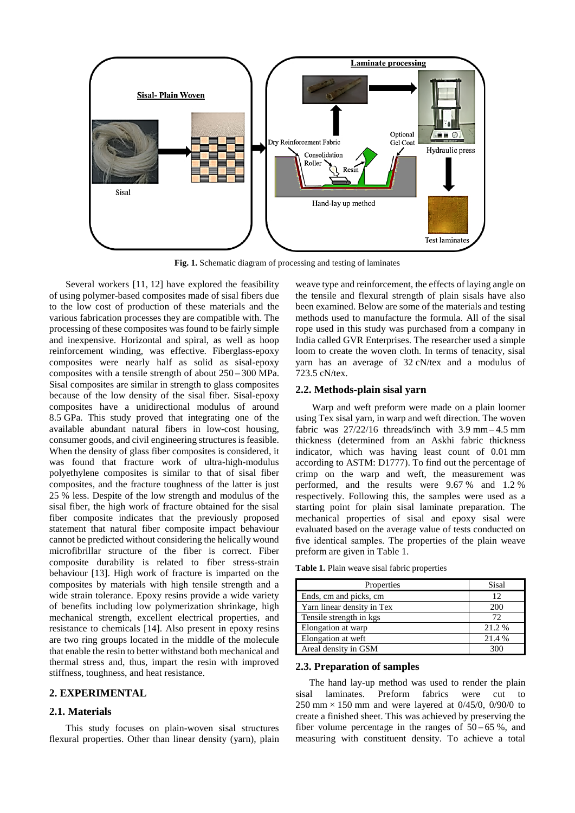

**Fig. 1.** Schematic diagram of processing and testing of laminates

Several workers [11, 12] have explored the feasibility of using polymer-based composites made of sisal fibers due to the low cost of production of these materials and the various fabrication processes they are compatible with. The processing of these composites was found to be fairly simple and inexpensive. Horizontal and spiral, as well as hoop reinforcement winding, was effective. Fiberglass-epoxy composites were nearly half as solid as sisal-epoxy composites with a tensile strength of about 250 – 300 MPa. Sisal composites are similar in strength to glass composites because of the low density of the sisal fiber. Sisal-epoxy composites have a unidirectional modulus of around 8.5 GPa. This study proved that integrating one of the available abundant natural fibers in low-cost housing, consumer goods, and civil engineering structures is feasible. When the density of glass fiber composites is considered, it was found that fracture work of ultra-high-modulus polyethylene composites is similar to that of sisal fiber composites, and the fracture toughness of the latter is just 25 % less. Despite of the low strength and modulus of the sisal fiber, the high work of fracture obtained for the sisal fiber composite indicates that the previously proposed statement that natural fiber composite impact behaviour cannot be predicted without considering the helically wound microfibrillar structure of the fiber is correct. Fiber composite durability is related to fiber stress-strain behaviour [13]. High work of fracture is imparted on the composites by materials with high tensile strength and a wide strain tolerance. Epoxy resins provide a wide variety of benefits including low polymerization shrinkage, high mechanical strength, excellent electrical properties, and resistance to chemicals [14]. Also present in epoxy resins are two ring groups located in the middle of the molecule that enable the resin to better withstand both mechanical and thermal stress and, thus, impart the resin with improved stiffness, toughness, and heat resistance.

## **2. EXPERIMENTAL**

## **2.1. Materials**

This study focuses on plain-woven sisal structures flexural properties. Other than linear density (yarn), plain weave type and reinforcement, the effects of laying angle on the tensile and flexural strength of plain sisals have also been examined. Below are some of the materials and testing methods used to manufacture the formula. All of the sisal rope used in this study was purchased from a company in India called GVR Enterprises. The researcher used a simple loom to create the woven cloth. In terms of tenacity, sisal yarn has an average of 32 cN/tex and a modulus of 723.5 cN/tex.

### **2.2. Methods-plain sisal yarn**

Warp and weft preform were made on a plain loomer using Tex sisal yarn, in warp and weft direction. The woven fabric was  $27/22/16$  threads/inch with 3.9 mm – 4.5 mm thickness (determined from an Askhi fabric thickness indicator, which was having least count of 0.01 mm according to ASTM: D1777). To find out the percentage of crimp on the warp and weft, the measurement was performed, and the results were 9.67 % and 1.2 % respectively. Following this, the samples were used as a starting point for plain sisal laminate preparation. The mechanical properties of sisal and epoxy sisal were evaluated based on the average value of tests conducted on five identical samples. The properties of the plain weave preform are given in Table 1.

**Table 1.** Plain weave sisal fabric properties

| Properties                 | Sisal  |
|----------------------------|--------|
| Ends, cm and picks, cm     | 12     |
| Yarn linear density in Tex | 200    |
| Tensile strength in kgs.   | 72     |
| Elongation at warp         | 21.2%  |
| Elongation at weft         | 21.4 % |
| Areal density in GSM       |        |

## **2.3. Preparation of samples**

The hand lay-up method was used to render the plain sisal laminates. Preform fabrics were cut to 250 mm  $\times$  150 mm and were layered at 0/45/0, 0/90/0 to create a finished sheet. This was achieved by preserving the fiber volume percentage in the ranges of  $50 - 65$ %, and measuring with constituent density. To achieve a total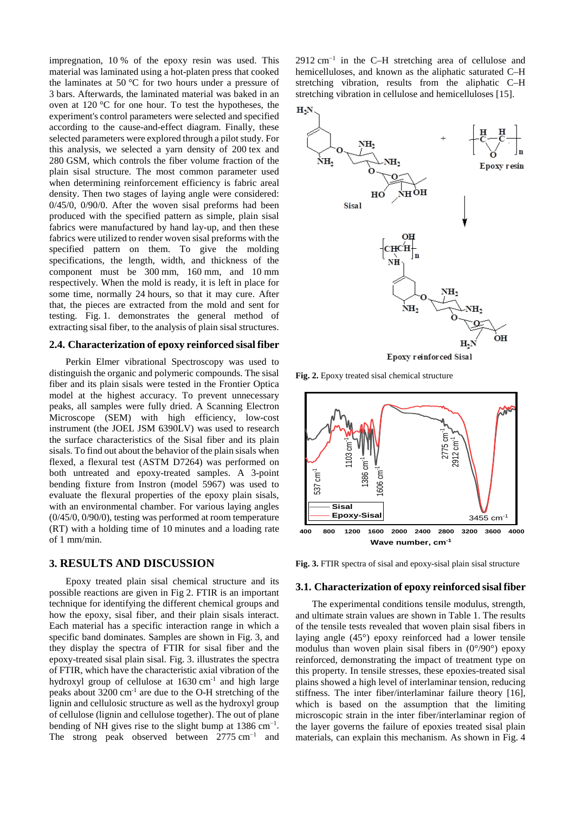impregnation, 10 % of the epoxy resin was used. This material was laminated using a hot-platen press that cooked the laminates at 50 °C for two hours under a pressure of 3 bars. Afterwards, the laminated material was baked in an oven at 120 °C for one hour. To test the hypotheses, the experiment's control parameters were selected and specified according to the cause-and-effect diagram. Finally, these selected parameters were explored through a pilot study. For this analysis, we selected a yarn density of 200 tex and 280 GSM, which controls the fiber volume fraction of the plain sisal structure. The most common parameter used when determining reinforcement efficiency is fabric areal density. Then two stages of laying angle were considered: 0/45/0, 0/90/0. After the woven sisal preforms had been produced with the specified pattern as simple, plain sisal fabrics were manufactured by hand lay-up, and then these fabrics were utilized to render woven sisal preforms with the specified pattern on them. To give the molding specifications, the length, width, and thickness of the component must be 300 mm, 160 mm, and 10 mm respectively. When the mold is ready, it is left in place for some time, normally 24 hours, so that it may cure. After that, the pieces are extracted from the mold and sent for testing. Fig. 1. demonstrates the general method of extracting sisal fiber, to the analysis of plain sisal structures.

## **2.4. Characterization of epoxy reinforced sisal fiber**

Perkin Elmer vibrational Spectroscopy was used to distinguish the organic and polymeric compounds. The sisal fiber and its plain sisals were tested in the Frontier Optica model at the highest accuracy. To prevent unnecessary peaks, all samples were fully dried. A Scanning Electron Microscope (SEM) with high efficiency, low-cost instrument (the JOEL JSM 6390LV) was used to research the surface characteristics of the Sisal fiber and its plain sisals. To find out about the behavior of the plain sisals when flexed, a flexural test (ASTM D7264) was performed on both untreated and epoxy-treated samples. A 3-point bending fixture from Instron (model 5967) was used to evaluate the flexural properties of the epoxy plain sisals, with an environmental chamber. For various laying angles (0/45/0, 0/90/0), testing was performed at room temperature (RT) with a holding time of 10 minutes and a loading rate of 1 mm/min.

## **3. RESULTS AND DISCUSSION**

Epoxy treated plain sisal chemical structure and its possible reactions are given in Fig 2. FTIR is an important technique for identifying the different chemical groups and how the epoxy, sisal fiber, and their plain sisals interact. Each material has a specific interaction range in which a specific band dominates. Samples are shown in Fig. 3, and they display the spectra of FTIR for sisal fiber and the epoxy-treated sisal plain sisal. Fig. 3. illustrates the spectra of FTIR, which have the characteristic axial vibration of the hydroxyl group of cellulose at  $1630 \text{ cm}^{-1}$  and high large peaks about 3200 cm-1 are due to the O-H stretching of the lignin and cellulosic structure as well as the hydroxyl group of cellulose (lignin and cellulose together). The out of plane bending of NH gives rise to the slight bump at  $1386 \text{ cm}^{-1}$ . The strong peak observed between  $2775 \text{ cm}^{-1}$  and 2912 cm<sup>-1</sup> in the C–H stretching area of cellulose and hemicelluloses, and known as the aliphatic saturated C–H stretching vibration, results from the aliphatic C–H stretching vibration in cellulose and hemicelluloses [15].





**Fig. 2.** Epoxy treated sisal chemical structure



**Fig. 3.** FTIR spectra of sisal and epoxy-sisal plain sisal structure

#### **3.1. Characterization of epoxy reinforced sisal fiber**

The experimental conditions tensile modulus, strength, and ultimate strain values are shown in Table 1. The results of the tensile tests revealed that woven plain sisal fibers in laying angle (45°) epoxy reinforced had a lower tensile modulus than woven plain sisal fibers in  $(0^{\circ}/90^{\circ})$  epoxy reinforced, demonstrating the impact of treatment type on this property. In tensile stresses, these epoxies-treated sisal plains showed a high level of interlaminar tension, reducing stiffness. The inter fiber/interlaminar failure theory [16], which is based on the assumption that the limiting microscopic strain in the inter fiber/interlaminar region of the layer governs the failure of epoxies treated sisal plain materials, can explain this mechanism. As shown in Fig. 4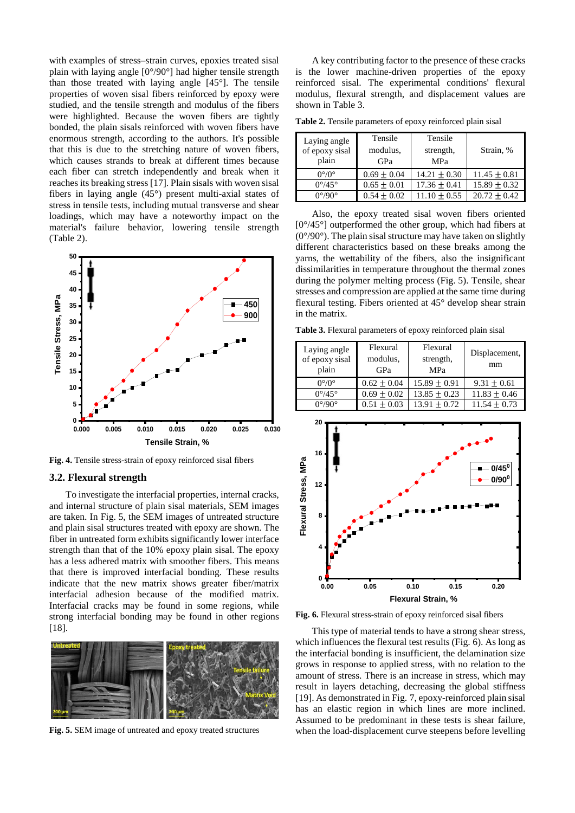with examples of stress–strain curves, epoxies treated sisal plain with laying angle [0°/90°] had higher tensile strength than those treated with laying angle [45°]. The tensile properties of woven sisal fibers reinforced by epoxy were studied, and the tensile strength and modulus of the fibers were highlighted. Because the woven fibers are tightly bonded, the plain sisals reinforced with woven fibers have enormous strength, according to the authors. It's possible that this is due to the stretching nature of woven fibers, which causes strands to break at different times because each fiber can stretch independently and break when it reaches its breaking stress [17]. Plain sisals with woven sisal fibers in laying angle (45°) present multi-axial states of stress in tensile tests, including mutual transverse and shear loadings, which may have a noteworthy impact on the material's failure behavior, lowering tensile strength (Table 2).



**Fig. 4.** Tensile stress-strain of epoxy reinforced sisal fibers

### **3.2. Flexural strength**

To investigate the interfacial properties, internal cracks, and internal structure of plain sisal materials, SEM images are taken. In Fig. 5, the SEM images of untreated structure and plain sisal structures treated with epoxy are shown. The fiber in untreated form exhibits significantly lower interface strength than that of the 10% epoxy plain sisal. The epoxy has a less adhered matrix with smoother fibers. This means that there is improved interfacial bonding. These results indicate that the new matrix shows greater fiber/matrix interfacial adhesion because of the modified matrix. Interfacial cracks may be found in some regions, while strong interfacial bonding may be found in other regions [18].



**Fig. 5.** SEM image of untreated and epoxy treated structures

A key contributing factor to the presence of these cracks is the lower machine-driven properties of the epoxy reinforced sisal. The experimental conditions' flexural modulus, flexural strength, and displacement values are shown in Table 3.

**Table 2.** Tensile parameters of epoxy reinforced plain sisal

| Laying angle<br>of epoxy sisal<br>plain | Tensile<br>modulus.<br>GPa | Tensile<br>strength,<br><b>MPa</b> | Strain, %        |
|-----------------------------------------|----------------------------|------------------------------------|------------------|
| $0^{\circ}/0^{\circ}$                   | $0.69 \pm 0.04$            | $14.21 \pm 0.30$                   | $11.45 \pm 0.81$ |
| $0^{\circ}/45^{\circ}$                  | $0.65 \pm 0.01$            | $17.36 \pm 0.41$                   | $15.89 + 0.32$   |
| $0^{\circ}/90^{\circ}$                  | $0.54 + 0.02$              | $11.10 + 0.55$                     | $20.72 + 0.42$   |

Also, the epoxy treated sisal woven fibers oriented  $[0^{\circ}/45^{\circ}]$  outperformed the other group, which had fibers at  $(0^{\circ}/90^{\circ})$ . The plain sisal structure may have taken on slightly different characteristics based on these breaks among the yarns, the wettability of the fibers, also the insignificant dissimilarities in temperature throughout the thermal zones during the polymer melting process (Fig. 5). Tensile, shear stresses and compression are applied at the same time during flexural testing. Fibers oriented at 45° develop shear strain in the matrix.

**Table 3.** Flexural parameters of epoxy reinforced plain sisal

| Laying angle<br>of epoxy sisal<br>plain | Flexural<br>modulus.<br>GPa | Flexural<br>strength,<br><b>MPa</b> | Displacement,<br>mm |
|-----------------------------------------|-----------------------------|-------------------------------------|---------------------|
| $0^{\circ}/0^{\circ}$                   | $0.62 \pm 0.04$             | $15.89 \pm 0.91$                    | $9.31 \pm 0.61$     |
| $0^{\circ}/45^{\circ}$                  | $0.69 \pm 0.02$             | $13.85 \pm 0.23$                    | $11.83 \pm 0.46$    |
| $0^{\circ}/90^{\circ}$                  | $0.51 \pm 0.03$             | $13.91 + 0.72$                      | $11.54 + 0.73$      |



**Fig. 6.** Flexural stress-strain of epoxy reinforced sisal fibers

This type of material tends to have a strong shear stress, which influences the flexural test results (Fig. 6). As long as the interfacial bonding is insufficient, the delamination size grows in response to applied stress, with no relation to the amount of stress. There is an increase in stress, which may result in layers detaching, decreasing the global stiffness [19]. As demonstrated in Fig. 7, epoxy-reinforced plain sisal has an elastic region in which lines are more inclined. Assumed to be predominant in these tests is shear failure, when the load-displacement curve steepens before levelling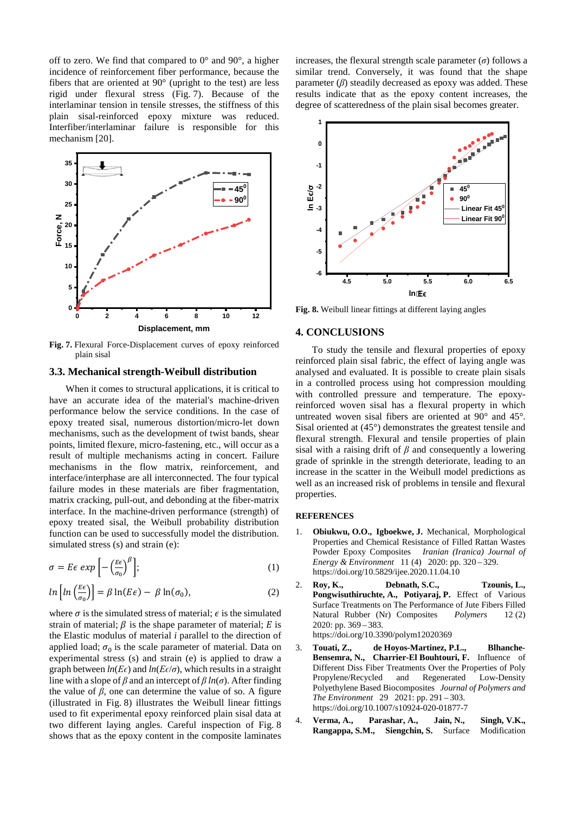off to zero. We find that compared to  $0^{\circ}$  and  $90^{\circ}$ , a higher incidence of reinforcement fiber performance, because the fibers that are oriented at 90° (upright to the test) are less rigid under flexural stress (Fig. 7). Because of the interlaminar tension in tensile stresses, the stiffness of this plain sisal-reinforced epoxy mixture was reduced. Interfiber/interlaminar failure is responsible for this mechanism [20].



**Fig. 7.** Flexural Force-Displacement curves of epoxy reinforced plain sisal

#### **3.3. Mechanical strength-Weibull distribution**

When it comes to structural applications, it is critical to have an accurate idea of the material's machine-driven performance below the service conditions. In the case of epoxy treated sisal, numerous distortion/micro-let down mechanisms, such as the development of twist bands, shear points, limited flexure, micro-fastening, etc., will occur as a result of multiple mechanisms acting in concert. Failure mechanisms in the flow matrix, reinforcement, and interface/interphase are all interconnected. The four typical failure modes in these materials are fiber fragmentation, matrix cracking, pull-out, and debonding at the fiber-matrix interface. In the machine-driven performance (strength) of epoxy treated sisal, the Weibull probability distribution function can be used to successfully model the distribution. simulated stress (s) and strain (e):

$$
\sigma = E\epsilon \exp\left[-\left(\frac{E\epsilon}{\sigma_0}\right)^{\beta}\right];\tag{1}
$$

$$
ln\left[ln\left(\frac{E\epsilon}{\sigma_0}\right)\right] = \beta ln(E\epsilon) - \beta ln(\sigma_0),\tag{2}
$$

where  $\sigma$  is the simulated stress of material;  $\epsilon$  is the simulated strain of material;  $\beta$  is the shape parameter of material; E is the Elastic modulus of material *i* parallel to the direction of applied load;  $\sigma_0$  is the scale parameter of material. Data on experimental stress (s) and strain (e) is applied to draw a graph between  $ln(E\epsilon)$  and  $ln(E\epsilon/\sigma)$ , which results in a straight line with a slope of  $\beta$  and an intercept of  $\beta$  *ln*( $\sigma$ ). After finding the value of  $\beta$ , one can determine the value of so. A figure (illustrated in Fig. 8) illustrates the Weibull linear fittings used to fit experimental epoxy reinforced plain sisal data at two different laying angles. Careful inspection of Fig. 8 shows that as the epoxy content in the composite laminates

increases, the flexural strength scale parameter  $(\sigma)$  follows a similar trend. Conversely, it was found that the shape parameter (*β*) steadily decreased as epoxy was added. These results indicate that as the epoxy content increases, the degree of scatteredness of the plain sisal becomes greater.



**Fig. 8.** Weibull linear fittings at different laying angles

## **4. CONCLUSIONS**

To study the tensile and flexural properties of epoxy reinforced plain sisal fabric, the effect of laying angle was analysed and evaluated. It is possible to create plain sisals in a controlled process using hot compression moulding with controlled pressure and temperature. The epoxyreinforced woven sisal has a flexural property in which untreated woven sisal fibers are oriented at 90° and 45°. Sisal oriented at (45°) demonstrates the greatest tensile and flexural strength. Flexural and tensile properties of plain sisal with a raising drift of *β* and consequently a lowering grade of sprinkle in the strength deteriorate, leading to an increase in the scatter in the Weibull model predictions as well as an increased risk of problems in tensile and flexural properties.

## **REFERENCES**

- 1. **Obiukwu, O.O., Igboekwe, J.** Mechanical, Morphological Properties and Chemical Resistance of Filled Rattan Wastes Powder Epoxy Composites *Iranian (Iranica) Journal of Energy & Environment* 11 (4) 2020: pp. 320 – 329. https://doi.org/10.5829/ijee.2020.11.04.10
- 2. **Roy, K., Debnath, S.C., Tzounis, L., Pongwisuthiruchte, A., Potiyaraj, P.** Effect of Various Surface Treatments on The Performance of Jute Fibers Filled Natural Rubber (Nr) Composites *Polymers* 12 (2) 2020: pp. 369 – 383. https://doi.org/10.3390/polym12020369
- 3. **Touati, Z., de Hoyos-Martinez, P.L., Blhanche-Bensemra, N., Charrier-El Bouhtouri, F.** Influence of Different Diss Fiber Treatments Over the Properties of Poly<br>Propylene/Recycled and Regenerated Low-Density Propylene/Recycled and Regenerated Low-Density Polyethylene Based Biocomposites *Journal of Polymers and The Environment* 29 2021: pp. 291 – 303. https://doi.org/10.1007/s10924-020-01877-7
- 4. **Verma, A., Parashar, A., Jain, N., Singh, V.K., Rangappa, S.M., Siengchin, S.** Surface Modification